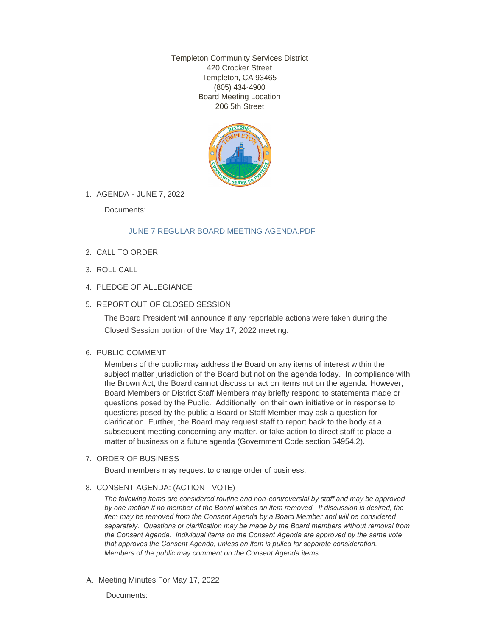Templeton Community Services District 420 Crocker Street Templeton, CA 93465 (805) 434-4900 Board Meeting Location 206 5th Street



AGENDA - JUNE 7, 2022 1.

Documents:

## [JUNE 7 REGULAR BOARD MEETING AGENDA.PDF](http://templetoncsd.org/AgendaCenter/ViewFile/Item/4741?fileID=3332)

- 2. CALL TO ORDER
- ROLL CALL 3.
- 4. PLEDGE OF ALLEGIANCE
- 5. REPORT OUT OF CLOSED SESSION

The Board President will announce if any reportable actions were taken during the Closed Session portion of the May 17, 2022 meeting.

### 6. PUBLIC COMMENT

Members of the public may address the Board on any items of interest within the subject matter jurisdiction of the Board but not on the agenda today. In compliance with the Brown Act, the Board cannot discuss or act on items not on the agenda. However, Board Members or District Staff Members may briefly respond to statements made or questions posed by the Public. Additionally, on their own initiative or in response to questions posed by the public a Board or Staff Member may ask a question for clarification. Further, the Board may request staff to report back to the body at a subsequent meeting concerning any matter, or take action to direct staff to place a matter of business on a future agenda (Government Code section 54954.2).

### 7. ORDER OF BUSINESS

Board members may request to change order of business.

### 8. CONSENT AGENDA: (ACTION - VOTE)

*The following items are considered routine and non-controversial by staff and may be approved by one motion if no member of the Board wishes an item removed. If discussion is desired, the item may be removed from the Consent Agenda by a Board Member and will be considered separately. Questions or clarification may be made by the Board members without removal from the Consent Agenda. Individual items on the Consent Agenda are approved by the same vote that approves the Consent Agenda, unless an item is pulled for separate consideration. Members of the public may comment on the Consent Agenda items.*

A. Meeting Minutes For May 17, 2022

Documents: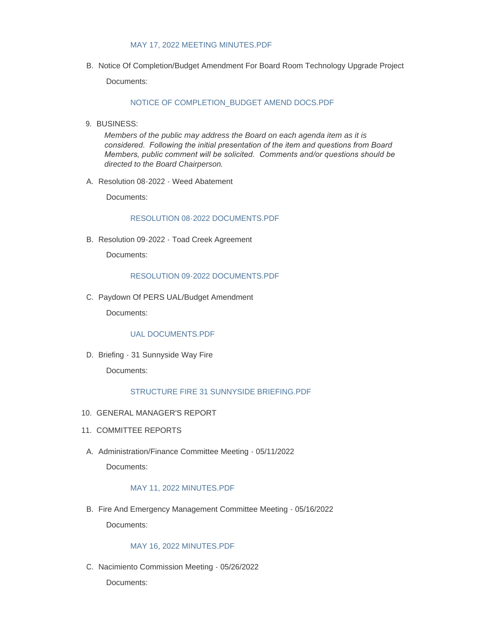#### [MAY 17, 2022 MEETING MINUTES.PDF](http://templetoncsd.org/AgendaCenter/ViewFile/Item/4723?fileID=3318)

B. Notice Of Completion/Budget Amendment For Board Room Technology Upgrade Project

Documents:

### [NOTICE OF COMPLETION\\_BUDGET AMEND DOCS.PDF](http://templetoncsd.org/AgendaCenter/ViewFile/Item/4736?fileID=3325)

9. BUSINESS:

*Members of the public may address the Board on each agenda item as it is considered. Following the initial presentation of the item and questions from Board Members, public comment will be solicited. Comments and/or questions should be directed to the Board Chairperson.*

A. Resolution 08-2022 - Weed Abatement

Documents:

#### [RESOLUTION 08-2022 DOCUMENTS.PDF](http://templetoncsd.org/AgendaCenter/ViewFile/Item/4739?fileID=3328)

B. Resolution 09-2022 - Toad Creek Agreement

Documents:

#### [RESOLUTION 09-2022 DOCUMENTS.PDF](http://templetoncsd.org/AgendaCenter/ViewFile/Item/4740?fileID=3329)

C. Paydown Of PERS UAL/Budget Amendment

Documents:

### [UAL DOCUMENTS.PDF](http://templetoncsd.org/AgendaCenter/ViewFile/Item/4724?fileID=3319)

D. Briefing - 31 Sunnyside Way Fire

Documents:

## [STRUCTURE FIRE 31 SUNNYSIDE BRIEFING.PDF](http://templetoncsd.org/AgendaCenter/ViewFile/Item/4725?fileID=3320)

- 10. GENERAL MANAGER'S REPORT
- 11. COMMITTEE REPORTS
- A. Administration/Finance Committee Meeting 05/11/2022 Documents:

### [MAY 11, 2022 MINUTES.PDF](http://templetoncsd.org/AgendaCenter/ViewFile/Item/4726?fileID=3321)

B. Fire And Emergency Management Committee Meeting - 05/16/2022 Documents:

### [MAY 16, 2022 MINUTES.PDF](http://templetoncsd.org/AgendaCenter/ViewFile/Item/4727?fileID=3322)

C. Nacimiento Commission Meeting - 05/26/2022

Documents: